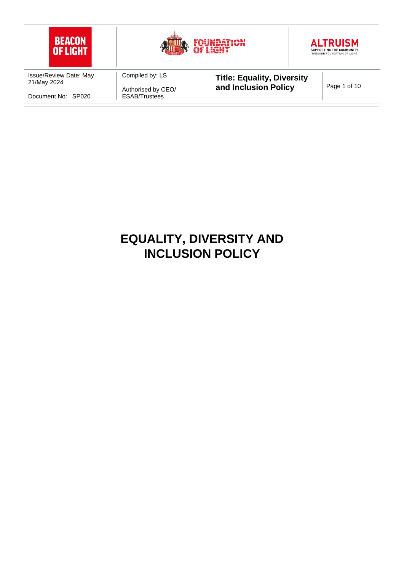

# **EQUALITY, DIVERSITY AND INCLUSION POLICY**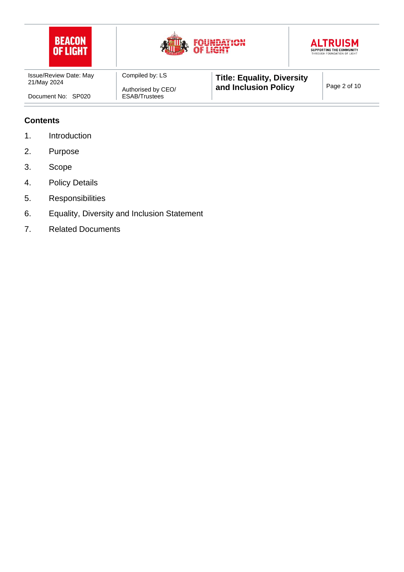

### **Contents**

- 1. Introduction
- 2. Purpose
- 3. Scope
- 4. Policy Details
- 5. Responsibilities
- 6. Equality, Diversity and Inclusion Statement
- 7. Related Documents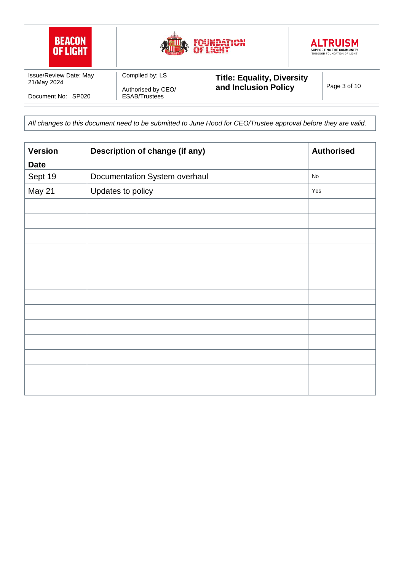

*All changes to this document need to be submitted to June Hood for CEO/Trustee approval before they are valid.* 

| <b>Version</b> | Description of change (if any) | <b>Authorised</b> |
|----------------|--------------------------------|-------------------|
| <b>Date</b>    |                                |                   |
| Sept 19        | Documentation System overhaul  | No                |
| May 21         | Updates to policy              | Yes               |
|                |                                |                   |
|                |                                |                   |
|                |                                |                   |
|                |                                |                   |
|                |                                |                   |
|                |                                |                   |
|                |                                |                   |
|                |                                |                   |
|                |                                |                   |
|                |                                |                   |
|                |                                |                   |
|                |                                |                   |
|                |                                |                   |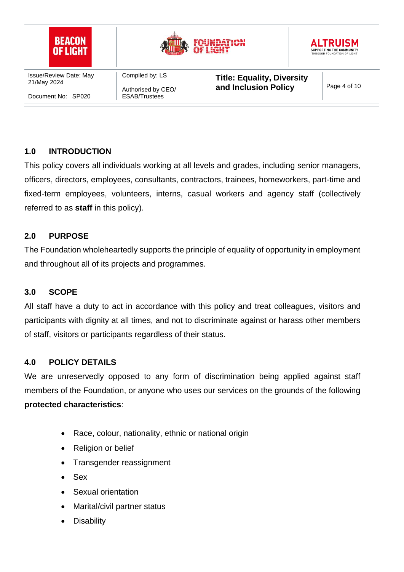

## **1.0 INTRODUCTION**

This policy covers all individuals working at all levels and grades, including senior managers, officers, directors, employees, consultants, contractors, trainees, homeworkers, part-time and fixed-term employees, volunteers, interns, casual workers and agency staff (collectively referred to as **staff** in this policy).

#### **2.0 PURPOSE**

The Foundation wholeheartedly supports the principle of equality of opportunity in employment and throughout all of its projects and programmes.

#### **3.0 SCOPE**

All staff have a duty to act in accordance with this policy and treat colleagues, visitors and participants with dignity at all times, and not to discriminate against or harass other members of staff, visitors or participants regardless of their status.

## **4.0 POLICY DETAILS**

We are unreservedly opposed to any form of discrimination being applied against staff members of the Foundation, or anyone who uses our services on the grounds of the following **protected characteristics**:

- Race, colour, nationality, ethnic or national origin
- Religion or belief
- Transgender reassignment
- Sex
- Sexual orientation
- Marital/civil partner status
- **Disability**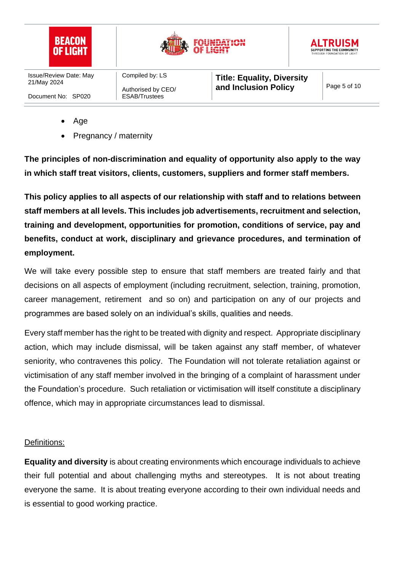

- Age
- Pregnancy / maternity

**The principles of non-discrimination and equality of opportunity also apply to the way in which staff treat visitors, clients, customers, suppliers and former staff members.**

**This policy applies to all aspects of our relationship with staff and to relations between staff members at all levels. This includes job advertisements, recruitment and selection, training and development, opportunities for promotion, conditions of service, pay and benefits, conduct at work, disciplinary and grievance procedures, and termination of employment.**

We will take every possible step to ensure that staff members are treated fairly and that decisions on all aspects of employment (including recruitment, selection, training, promotion, career management, retirement and so on) and participation on any of our projects and programmes are based solely on an individual's skills, qualities and needs.

Every staff member has the right to be treated with dignity and respect. Appropriate disciplinary action, which may include dismissal, will be taken against any staff member, of whatever seniority, who contravenes this policy. The Foundation will not tolerate retaliation against or victimisation of any staff member involved in the bringing of a complaint of harassment under the Foundation's procedure. Such retaliation or victimisation will itself constitute a disciplinary offence, which may in appropriate circumstances lead to dismissal.

#### Definitions:

**Equality and diversity** is about creating environments which encourage individuals to achieve their full potential and about challenging myths and stereotypes. It is not about treating everyone the same. It is about treating everyone according to their own individual needs and is essential to good working practice.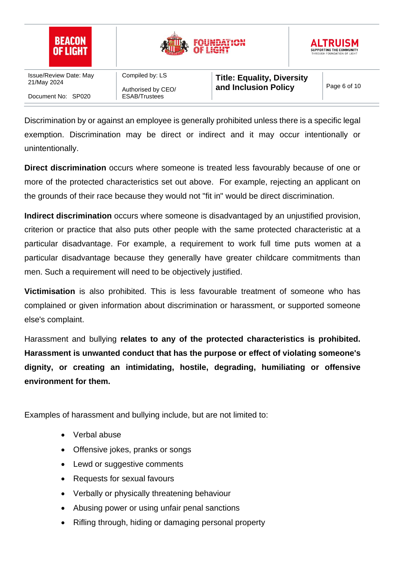

Discrimination by or against an employee is generally prohibited unless there is a specific legal exemption. Discrimination may be direct or indirect and it may occur intentionally or unintentionally.

**Direct discrimination** occurs where someone is treated less favourably because of one or more of the protected characteristics set out above. For example, rejecting an applicant on the grounds of their race because they would not "fit in" would be direct discrimination.

**Indirect discrimination** occurs where someone is disadvantaged by an unjustified provision, criterion or practice that also puts other people with the same protected characteristic at a particular disadvantage. For example, a requirement to work full time puts women at a particular disadvantage because they generally have greater childcare commitments than men. Such a requirement will need to be objectively justified.

**Victimisation** is also prohibited. This is less favourable treatment of someone who has complained or given information about discrimination or harassment, or supported someone else's complaint.

Harassment and bullying **relates to any of the protected characteristics is prohibited. Harassment is unwanted conduct that has the purpose or effect of violating someone's dignity, or creating an intimidating, hostile, degrading, humiliating or offensive environment for them.** 

Examples of harassment and bullying include, but are not limited to:

- Verbal abuse
- Offensive jokes, pranks or songs
- Lewd or suggestive comments
- Requests for sexual favours
- Verbally or physically threatening behaviour
- Abusing power or using unfair penal sanctions
- Rifling through, hiding or damaging personal property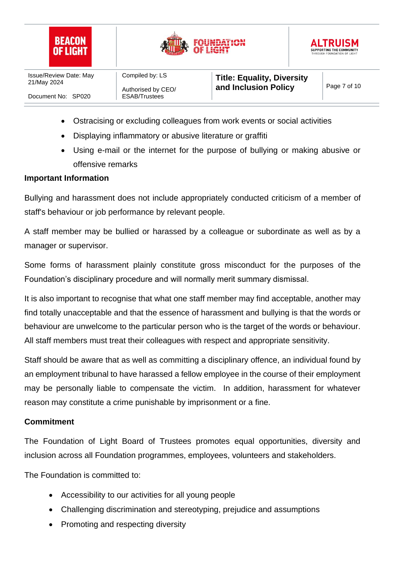





- Ostracising or excluding colleagues from work events or social activities
- Displaying inflammatory or abusive literature or graffiti
- Using e-mail or the internet for the purpose of bullying or making abusive or offensive remarks

#### **Important Information**

Bullying and harassment does not include appropriately conducted criticism of a member of staff's behaviour or job performance by relevant people.

A staff member may be bullied or harassed by a colleague or subordinate as well as by a manager or supervisor.

Some forms of harassment plainly constitute gross misconduct for the purposes of the Foundation's disciplinary procedure and will normally merit summary dismissal.

It is also important to recognise that what one staff member may find acceptable, another may find totally unacceptable and that the essence of harassment and bullying is that the words or behaviour are unwelcome to the particular person who is the target of the words or behaviour. All staff members must treat their colleagues with respect and appropriate sensitivity.

Staff should be aware that as well as committing a disciplinary offence, an individual found by an employment tribunal to have harassed a fellow employee in the course of their employment may be personally liable to compensate the victim. In addition, harassment for whatever reason may constitute a crime punishable by imprisonment or a fine.

#### **Commitment**

The Foundation of Light Board of Trustees promotes equal opportunities, diversity and inclusion across all Foundation programmes, employees, volunteers and stakeholders.

The Foundation is committed to:

- Accessibility to our activities for all young people
- Challenging discrimination and stereotyping, prejudice and assumptions
- Promoting and respecting diversity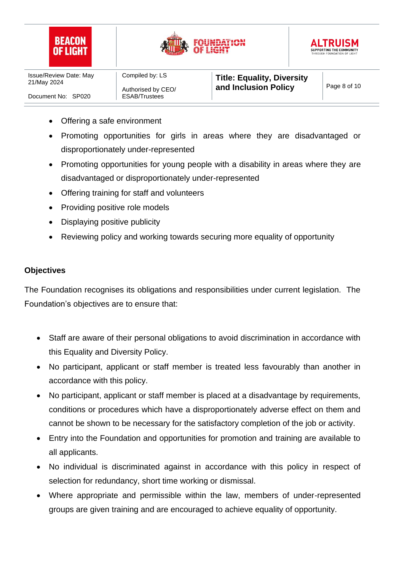





- Offering a safe environment
- Promoting opportunities for girls in areas where they are disadvantaged or disproportionately under-represented
- Promoting opportunities for young people with a disability in areas where they are disadvantaged or disproportionately under-represented
- Offering training for staff and volunteers
- Providing positive role models
- Displaying positive publicity
- Reviewing policy and working towards securing more equality of opportunity

#### **Objectives**

The Foundation recognises its obligations and responsibilities under current legislation. The Foundation's objectives are to ensure that:

- Staff are aware of their personal obligations to avoid discrimination in accordance with this Equality and Diversity Policy.
- No participant, applicant or staff member is treated less favourably than another in accordance with this policy.
- No participant, applicant or staff member is placed at a disadvantage by requirements, conditions or procedures which have a disproportionately adverse effect on them and cannot be shown to be necessary for the satisfactory completion of the job or activity.
- Entry into the Foundation and opportunities for promotion and training are available to all applicants.
- No individual is discriminated against in accordance with this policy in respect of selection for redundancy, short time working or dismissal.
- Where appropriate and permissible within the law, members of under-represented groups are given training and are encouraged to achieve equality of opportunity.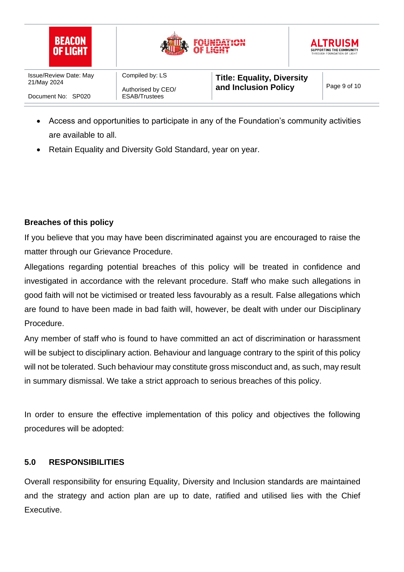





- Access and opportunities to participate in any of the Foundation's community activities are available to all.
- Retain Equality and Diversity Gold Standard, year on year.

# **Breaches of this policy**

If you believe that you may have been discriminated against you are encouraged to raise the matter through our Grievance Procedure.

Allegations regarding potential breaches of this policy will be treated in confidence and investigated in accordance with the relevant procedure. Staff who make such allegations in good faith will not be victimised or treated less favourably as a result. False allegations which are found to have been made in bad faith will, however, be dealt with under our Disciplinary Procedure.

Any member of staff who is found to have committed an act of discrimination or harassment will be subject to disciplinary action. Behaviour and language contrary to the spirit of this policy will not be tolerated. Such behaviour may constitute gross misconduct and, as such, may result in summary dismissal. We take a strict approach to serious breaches of this policy.

In order to ensure the effective implementation of this policy and objectives the following procedures will be adopted:

## **5.0 RESPONSIBILITIES**

Overall responsibility for ensuring Equality, Diversity and Inclusion standards are maintained and the strategy and action plan are up to date, ratified and utilised lies with the Chief Executive.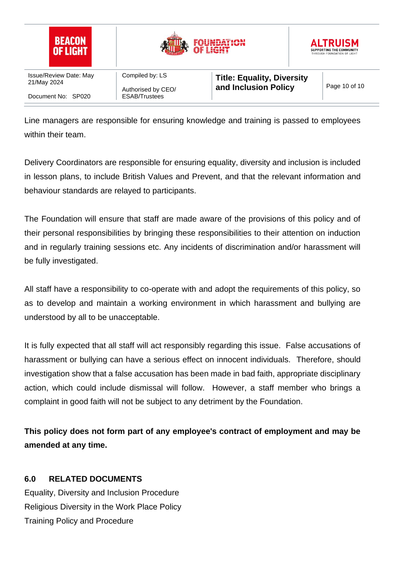

Line managers are responsible for ensuring knowledge and training is passed to employees within their team.

Delivery Coordinators are responsible for ensuring equality, diversity and inclusion is included in lesson plans, to include British Values and Prevent, and that the relevant information and behaviour standards are relayed to participants.

The Foundation will ensure that staff are made aware of the provisions of this policy and of their personal responsibilities by bringing these responsibilities to their attention on induction and in regularly training sessions etc. Any incidents of discrimination and/or harassment will be fully investigated.

All staff have a responsibility to co-operate with and adopt the requirements of this policy, so as to develop and maintain a working environment in which harassment and bullying are understood by all to be unacceptable.

It is fully expected that all staff will act responsibly regarding this issue. False accusations of harassment or bullying can have a serious effect on innocent individuals. Therefore, should investigation show that a false accusation has been made in bad faith, appropriate disciplinary action, which could include dismissal will follow. However, a staff member who brings a complaint in good faith will not be subject to any detriment by the Foundation.

**This policy does not form part of any employee's contract of employment and may be amended at any time.**

# **6.0 RELATED DOCUMENTS**

Equality, Diversity and Inclusion Procedure Religious Diversity in the Work Place Policy Training Policy and Procedure